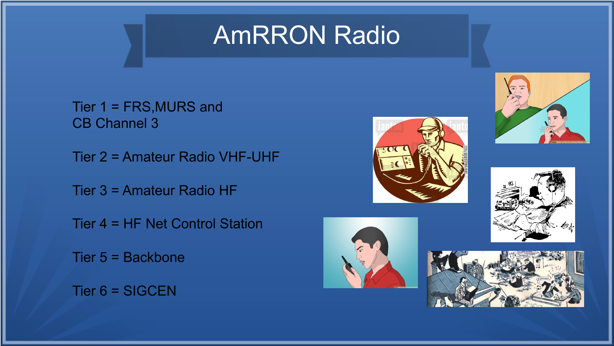### AmRRON Radio

Tier 1 = FRS,MURS and CB Channel 3

Tier 2 = Amateur Radio VHF-UHF

Tier 3 = Amateur Radio HF

Tier 4 = HF Net Control Station

Tier 5 = Backbone

Tier 6 = SIGCEN









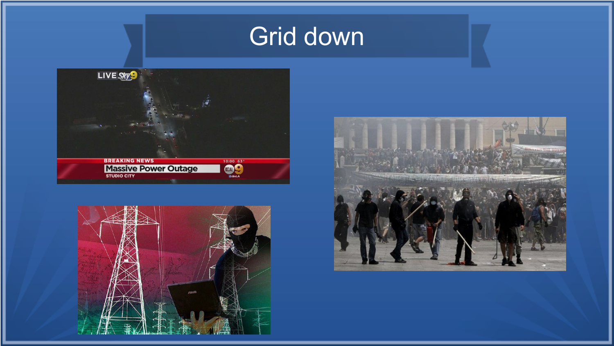# Grid down





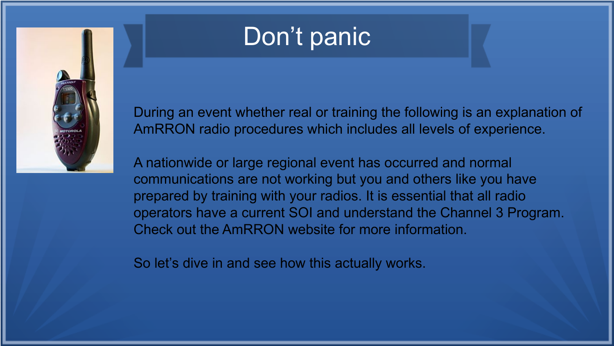

# Don't panic

During an event whether real or training the following is an explanation of AmRRON radio procedures which includes all levels of experience.

A nationwide or large regional event has occurred and normal communications are not working but you and others like you have prepared by training with your radios. It is essential that all radio operators have a current SOI and understand the Channel 3 Program. Check out the AmRRON website for more information.

So let's dive in and see how this actually works.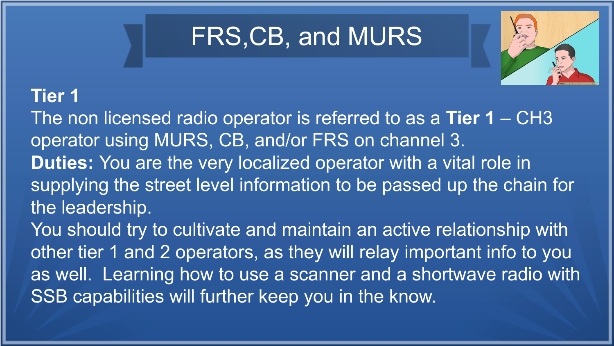## FRS,CB, and MURS



### **Tier 1**

The non licensed radio operator is referred to as a **Tier 1** – CH3 operator using MURS, CB, and/or FRS on channel 3. **Duties:** You are the very localized operator with a vital role in supplying the street level information to be passed up the chain for the leadership.

You should try to cultivate and maintain an active relationship with other tier 1 and 2 operators, as they will relay important info to you as well. Learning how to use a scanner and a shortwave radio with SSB capabilities will further keep you in the know.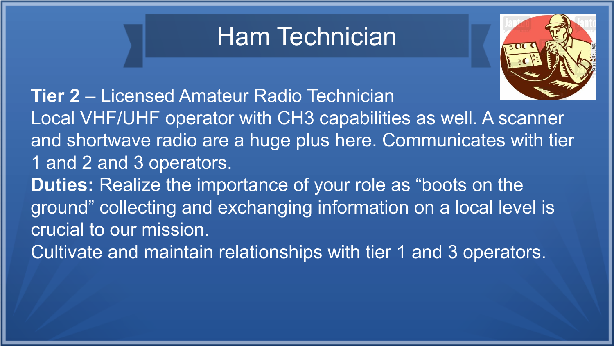## Ham Technician



**Tier 2** – Licensed Amateur Radio Technician Local VHF/UHF operator with CH3 capabilities as well. A scanner and shortwave radio are a huge plus here. Communicates with tier 1 and 2 and 3 operators. **Duties:** Realize the importance of your role as "boots on the ground" collecting and exchanging information on a local level is crucial to our mission. Cultivate and maintain relationships with tier 1 and 3 operators.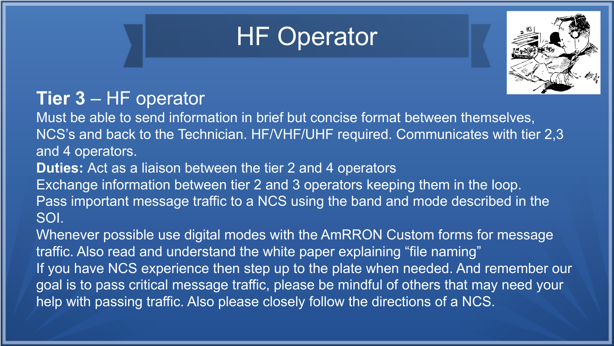# HF Operator



#### **Tier 3** – HF operator

Must be able to send information in brief but concise format between themselves, NCS's and back to the Technician. HF/VHF/UHF required. Communicates with tier 2,3 and 4 operators.

**Duties:** Act as a liaison between the tier 2 and 4 operators

Exchange information between tier 2 and 3 operators keeping them in the loop.

Pass important message traffic to a NCS using the band and mode described in the SOI.

Whenever possible use digital modes with the AmRRON Custom forms for message traffic. Also read and understand the white paper explaining "file naming" If you have NCS experience then step up to the plate when needed. And remember our goal is to pass critical message traffic, please be mindful of others that may need your help with passing traffic. Also please closely follow the directions of a NCS.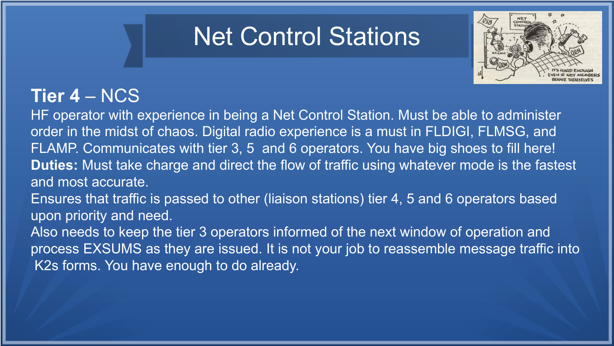### Net Control Stations



### **Tier 4** – NCS

HF operator with experience in being a Net Control Station. Must be able to administer order in the midst of chaos. Digital radio experience is a must in FLDIGI, FLMSG, and FLAMP. Communicates with tier 3, 5 and 6 operators. You have big shoes to fill here! **Duties:** Must take charge and direct the flow of traffic using whatever mode is the fastest and most accurate.

Ensures that traffic is passed to other (liaison stations) tier 4, 5 and 6 operators based upon priority and need.

Also needs to keep the tier 3 operators informed of the next window of operation and process EXSUMS as they are issued. It is not your job to reassemble message traffic into K2s forms. You have enough to do already.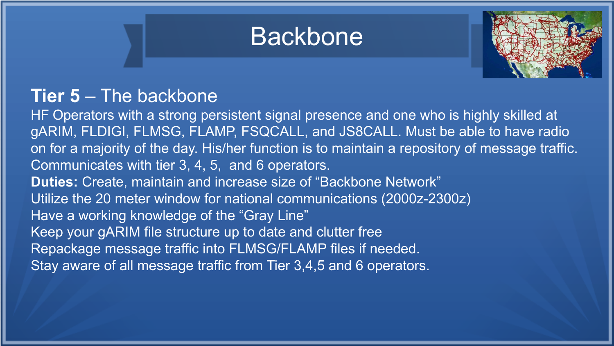



#### **Tier 5** – The backbone

HF Operators with a strong persistent signal presence and one who is highly skilled at gARIM, FLDIGI, FLMSG, FLAMP, FSQCALL, and JS8CALL. Must be able to have radio on for a majority of the day. His/her function is to maintain a repository of message traffic. Communicates with tier 3, 4, 5, and 6 operators. **Duties:** Create, maintain and increase size of "Backbone Network" Utilize the 20 meter window for national communications (2000z-2300z) Have a working knowledge of the "Gray Line" Keep your gARIM file structure up to date and clutter free Repackage message traffic into FLMSG/FLAMP files if needed. Stay aware of all message traffic from Tier 3,4,5 and 6 operators.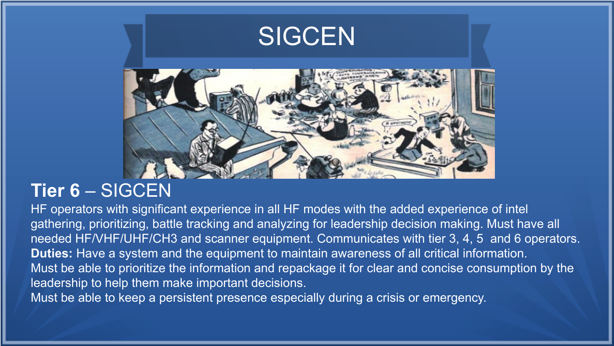

#### **Tier 6** – SIGCEN

HF operators with significant experience in all HF modes with the added experience of intel gathering, prioritizing, battle tracking and analyzing for leadership decision making. Must have all needed HF/VHF/UHF/CH3 and scanner equipment. Communicates with tier 3, 4, 5 and 6 operators. **Duties:** Have a system and the equipment to maintain awareness of all critical information. Must be able to prioritize the information and repackage it for clear and concise consumption by the leadership to help them make important decisions.

Must be able to keep a persistent presence especially during a crisis or emergency.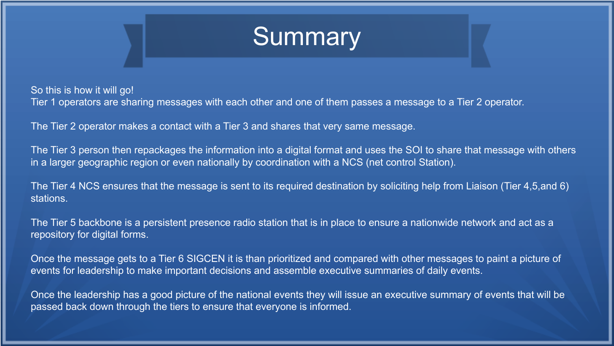

So this is how it will go! Tier 1 operators are sharing messages with each other and one of them passes a message to a Tier 2 operator.

The Tier 2 operator makes a contact with a Tier 3 and shares that very same message.

The Tier 3 person then repackages the information into a digital format and uses the SOI to share that message with others in a larger geographic region or even nationally by coordination with a NCS (net control Station).

The Tier 4 NCS ensures that the message is sent to its required destination by soliciting help from Liaison (Tier 4,5,and 6) stations.

The Tier 5 backbone is a persistent presence radio station that is in place to ensure a nationwide network and act as a repository for digital forms.

Once the message gets to a Tier 6 SIGCEN it is than prioritized and compared with other messages to paint a picture of events for leadership to make important decisions and assemble executive summaries of daily events.

Once the leadership has a good picture of the national events they will issue an executive summary of events that will be passed back down through the tiers to ensure that everyone is informed.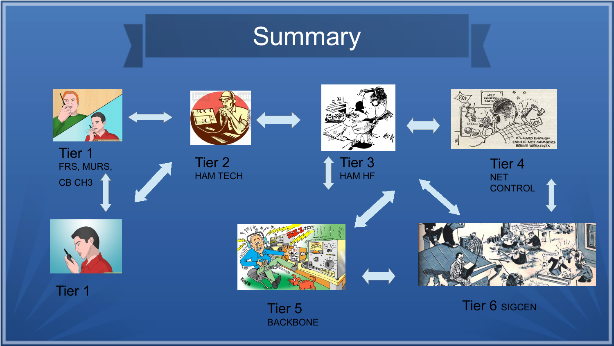# **Summary**



Tier 1 FRS, MURS, CB CH3





Tier 2 HAM TECH



Tier 3 HAM HF



Tier 4 NET **CONTROL** 



Tier 1



BACKBONE



Tier 5 Tier 6 SIGCEN